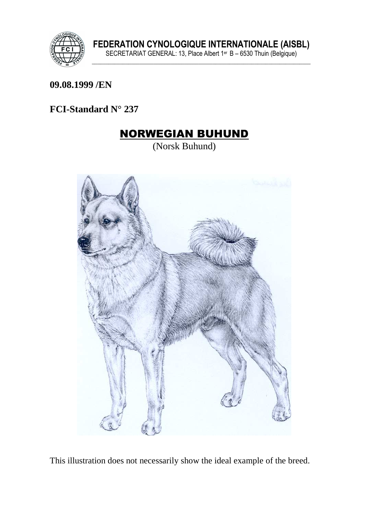

#### **09.08.1999 /EN**

## **FCI-Standard N° 237**

## NORWEGIAN BUHUND

(Norsk Buhund)



This illustration does not necessarily show the ideal example of the breed.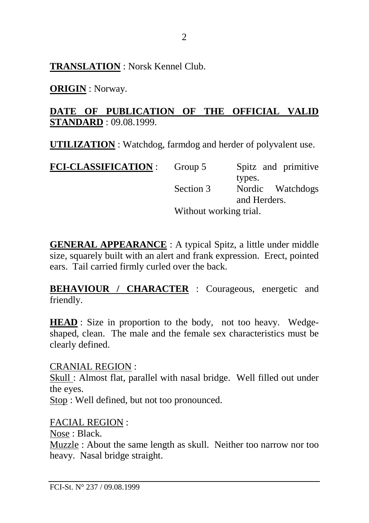**TRANSLATION** : Norsk Kennel Club.

**ORIGIN** : Norway.

## **DATE OF PUBLICATION OF THE OFFICIAL VALID STANDARD** : 09.08.1999.

**UTILIZATION** : Watchdog, farmdog and herder of polyvalent use.

| <b>FCI-CLASSIFICATION :</b> | Group 5                | Spitz and primitive        |  |
|-----------------------------|------------------------|----------------------------|--|
|                             | Section 3              | types.<br>Nordic Watchdogs |  |
|                             |                        | and Herders.               |  |
|                             | Without working trial. |                            |  |

**GENERAL APPEARANCE** : A typical Spitz, a little under middle size, squarely built with an alert and frank expression. Erect, pointed ears. Tail carried firmly curled over the back.

**BEHAVIOUR / CHARACTER : Courageous, energetic and** friendly.

**HEAD** : Size in proportion to the body, not too heavy. Wedgeshaped, clean. The male and the female sex characteristics must be clearly defined.

#### CRANIAL REGION :

Skull : Almost flat, parallel with nasal bridge. Well filled out under the eyes.

Stop : Well defined, but not too pronounced.

#### FACIAL REGION :

Nose : Black.

Muzzle : About the same length as skull. Neither too narrow nor too heavy. Nasal bridge straight.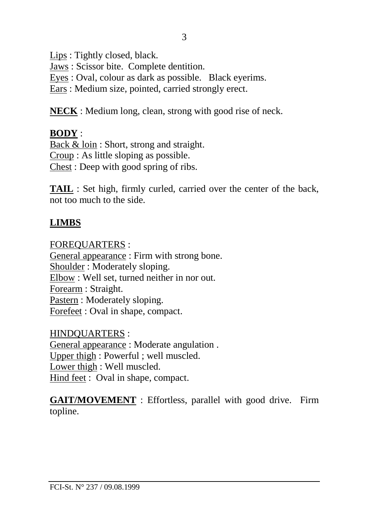Lips : Tightly closed, black.

Jaws : Scissor bite. Complete dentition.

Eyes : Oval, colour as dark as possible. Black eyerims.

Ears : Medium size, pointed, carried strongly erect.

**NECK** : Medium long, clean, strong with good rise of neck.

## **BODY** :

Back & loin : Short, strong and straight. Croup : As little sloping as possible. Chest : Deep with good spring of ribs.

**TAIL** : Set high, firmly curled, carried over the center of the back, not too much to the side.

## **LIMBS**

FOREQUARTERS :

General appearance : Firm with strong bone. Shoulder : Moderately sloping. Elbow : Well set, turned neither in nor out. Forearm : Straight. Pastern : Moderately sloping. Forefeet : Oval in shape, compact.

HINDQUARTERS : General appearance : Moderate angulation . Upper thigh : Powerful ; well muscled. Lower thigh : Well muscled. Hind feet : Oval in shape, compact.

**GAIT/MOVEMENT** : Effortless, parallel with good drive. Firm topline.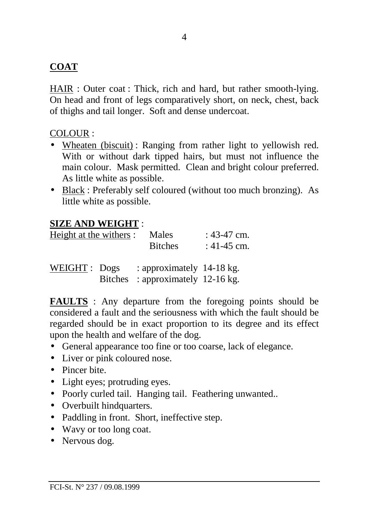## **COAT**

HAIR : Outer coat : Thick, rich and hard, but rather smooth-lying. On head and front of legs comparatively short, on neck, chest, back of thighs and tail longer. Soft and dense undercoat.

#### COLOUR :

- Wheaten (biscuit): Ranging from rather light to yellowish red. With or without dark tipped hairs, but must not influence the main colour. Mask permitted. Clean and bright colour preferred. As little white as possible.
- Black : Preferably self coloured (without too much bronzing). As little white as possible.

## **SIZE AND WEIGHT** :

| Height at the withers : |                | Males<br><b>Bitches</b>                                | : 43-47 cm.<br>: 41-45 cm. |
|-------------------------|----------------|--------------------------------------------------------|----------------------------|
| WEIGHT: Dogs            | <b>Bitches</b> | : approximately 14-18 kg.<br>: approximately 12-16 kg. |                            |

**FAULTS** : Any departure from the foregoing points should be considered a fault and the seriousness with which the fault should be regarded should be in exact proportion to its degree and its effect upon the health and welfare of the dog.

- General appearance too fine or too coarse, lack of elegance.
- Liver or pink coloured nose.
- Pincer bite.
- Light eyes; protruding eyes.
- Poorly curled tail. Hanging tail. Feathering unwanted..
- Overbuilt hindquarters.
- Paddling in front. Short, ineffective step.
- Wavy or too long coat.
- Nervous dog.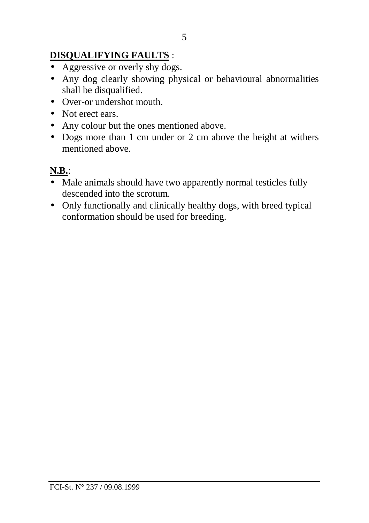## **DISQUALIFYING FAULTS** :

- Aggressive or overly shy dogs.
- Any dog clearly showing physical or behavioural abnormalities shall be disqualified.
- Over-or undershot mouth.
- Not erect ears.
- Any colour but the ones mentioned above.
- Dogs more than 1 cm under or 2 cm above the height at withers mentioned above.

## **N.B.**:

- Male animals should have two apparently normal testicles fully descended into the scrotum.
- Only functionally and clinically healthy dogs, with breed typical conformation should be used for breeding.